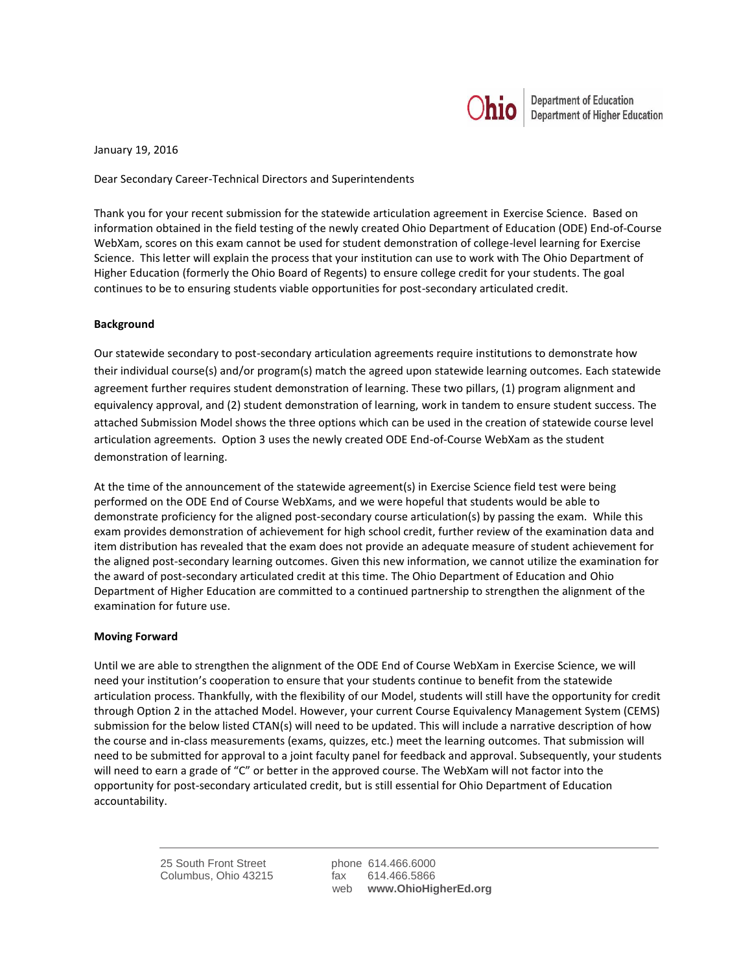

January 19, 2016

Dear Secondary Career-Technical Directors and Superintendents

Thank you for your recent submission for the statewide articulation agreement in Exercise Science. Based on information obtained in the field testing of the newly created Ohio Department of Education (ODE) End-of-Course WebXam, scores on this exam cannot be used for student demonstration of college-level learning for Exercise Science. This letter will explain the process that your institution can use to work with The Ohio Department of Higher Education (formerly the Ohio Board of Regents) to ensure college credit for your students. The goal continues to be to ensuring students viable opportunities for post-secondary articulated credit.

## **Background**

Our statewide secondary to post-secondary articulation agreements require institutions to demonstrate how their individual course(s) and/or program(s) match the agreed upon statewide learning outcomes. Each statewide agreement further requires student demonstration of learning. These two pillars, (1) program alignment and equivalency approval, and (2) student demonstration of learning, work in tandem to ensure student success. The attached Submission Model shows the three options which can be used in the creation of statewide course level articulation agreements. Option 3 uses the newly created ODE End-of-Course WebXam as the student demonstration of learning.

At the time of the announcement of the statewide agreement(s) in Exercise Science field test were being performed on the ODE End of Course WebXams, and we were hopeful that students would be able to demonstrate proficiency for the aligned post-secondary course articulation(s) by passing the exam. While this exam provides demonstration of achievement for high school credit, further review of the examination data and item distribution has revealed that the exam does not provide an adequate measure of student achievement for the aligned post-secondary learning outcomes. Given this new information, we cannot utilize the examination for the award of post-secondary articulated credit at this time. The Ohio Department of Education and Ohio Department of Higher Education are committed to a continued partnership to strengthen the alignment of the examination for future use.

## **Moving Forward**

Until we are able to strengthen the alignment of the ODE End of Course WebXam in Exercise Science, we will need your institution's cooperation to ensure that your students continue to benefit from the statewide articulation process. Thankfully, with the flexibility of our Model, students will still have the opportunity for credit through Option 2 in the attached Model. However, your current Course Equivalency Management System (CEMS) submission for the below listed CTAN(s) will need to be updated. This will include a narrative description of how the course and in-class measurements (exams, quizzes, etc.) meet the learning outcomes. That submission will need to be submitted for approval to a joint faculty panel for feedback and approval. Subsequently, your students will need to earn a grade of "C" or better in the approved course. The WebXam will not factor into the opportunity for post-secondary articulated credit, but is still essential for Ohio Department of Education accountability.

> 25 South Front Street phone 614.466.6000 Columbus, Ohio 43215 fax 614.466.5866

web **www.OhioHigherEd.org**